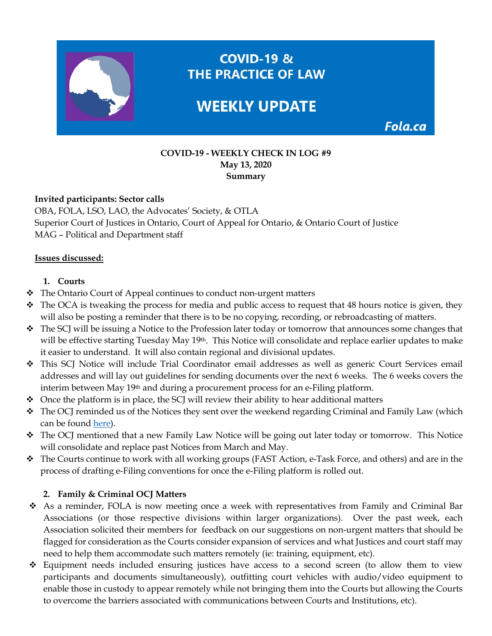

**COVID-19 - WEEKLY CHECK IN LOG #9 May 13, 2020 Summary**

### **Invited participants: Sector calls**

OBA, FOLA, LSO, LAO, the Advocates' Society, & OTLA Superior Court of Justices in Ontario, Court of Appeal for Ontario, & Ontario Court of Justice MAG – Political and Department staff

#### **Issues discussed:**

### **1. Courts**

- \* The Ontario Court of Appeal continues to conduct non-urgent matters
- $\bullet$  The OCA is tweaking the process for media and public access to request that 48 hours notice is given, they will also be posting a reminder that there is to be no copying, recording, or rebroadcasting of matters.
- The SCJ will be issuing a Notice to the Profession later today or tomorrow that announces some changes that will be effective starting Tuesday May 19th. This Notice will consolidate and replace earlier updates to make it easier to understand. It will also contain regional and divisional updates.
- This SCJ Notice will include Trial Coordinator email addresses as well as generic Court Services email addresses and will lay out guidelines for sending documents over the next 6 weeks. The 6 weeks covers the interim between May 19th and during a procurement process for an e-Filing platform.
- $\triangleleft$  Once the platform is in place, the SCJ will review their ability to hear additional matters
- The OCJ reminded us of the Notices they sent over the weekend regarding Criminal and Family Law (which can be found [here\)](https://fola.ca/mag).
- \* The OCJ mentioned that a new Family Law Notice will be going out later today or tomorrow. This Notice will consolidate and replace past Notices from March and May.
- \* The Courts continue to work with all working groups (FAST Action, e-Task Force, and others) and are in the process of drafting e-Filing conventions for once the e-Filing platform is rolled out.

## **2. Family & Criminal OCJ Matters**

- As a reminder, FOLA is now meeting once a week with representatives from Family and Criminal Bar Associations (or those respective divisions within larger organizations). Over the past week, each Association solicited their members for feedback on our suggestions on non-urgent matters that should be flagged for consideration as the Courts consider expansion of services and what Justices and court staff may need to help them accommodate such matters remotely (ie: training, equipment, etc).
- Equipment needs included ensuring justices have access to a second screen (to allow them to view participants and documents simultaneously), outfitting court vehicles with audio/video equipment to enable those in custody to appear remotely while not bringing them into the Courts but allowing the Courts to overcome the barriers associated with communications between Courts and Institutions, etc).